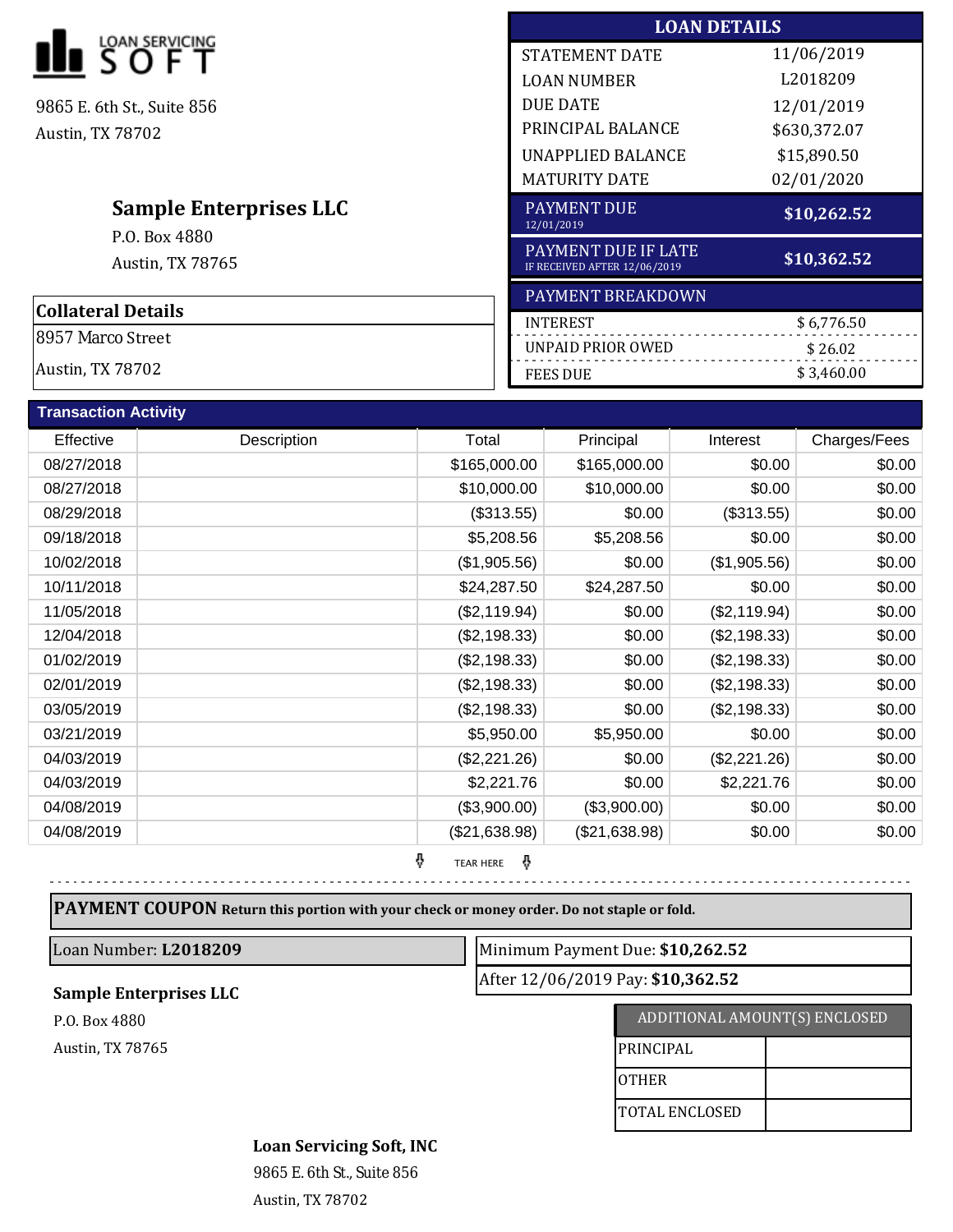|                                   | <b>LOAN DETAILS</b>                                 |              |  |  |
|-----------------------------------|-----------------------------------------------------|--------------|--|--|
| $\mathsf{S}$ SOFT                 | <b>STATEMENT DATE</b>                               | 11/06/2019   |  |  |
|                                   | <b>LOAN NUMBER</b>                                  | L2018209     |  |  |
| 9865 E. 6th St., Suite 856        | <b>DUE DATE</b>                                     | 12/01/2019   |  |  |
| Austin, TX 78702                  | PRINCIPAL BALANCE                                   | \$630,372.07 |  |  |
|                                   | <b>UNAPPLIED BALANCE</b>                            | \$15,890.50  |  |  |
|                                   | <b>MATURITY DATE</b>                                | 02/01/2020   |  |  |
| <b>Sample Enterprises LLC</b>     | <b>PAYMENT DUE</b><br>12/01/2019                    | \$10,262.52  |  |  |
| P.O. Box 4880<br>Austin, TX 78765 | PAYMENT DUE IF LATE<br>IF RECEIVED AFTER 12/06/2019 | \$10,362.52  |  |  |
|                                   | PAYMENT BREAKDOWN                                   |              |  |  |
| <b>Collateral Details</b>         | <b>INTEREST</b>                                     | \$6,776.50   |  |  |
| 8957 Marco Street                 | UNPAID PRIOR OWED                                   | \$26.02      |  |  |
| Austin, TX 78702                  | <b>FEES DUE</b>                                     | \$3,460.00   |  |  |

| <b>Transaction Activity</b> |             |                            |               |              |              |
|-----------------------------|-------------|----------------------------|---------------|--------------|--------------|
| Effective                   | Description | Total                      | Principal     | Interest     | Charges/Fees |
| 08/27/2018                  |             | \$165,000.00               | \$165,000.00  | \$0.00       | \$0.00       |
| 08/27/2018                  |             | \$10,000.00                | \$10,000.00   | \$0.00       | \$0.00       |
| 08/29/2018                  |             | (\$313.55)                 | \$0.00        | (\$313.55)   | \$0.00       |
| 09/18/2018                  |             | \$5,208.56                 | \$5,208.56    | \$0.00       | \$0.00       |
| 10/02/2018                  |             | (\$1,905.56)               | \$0.00        | (\$1,905.56) | \$0.00       |
| 10/11/2018                  |             | \$24,287.50                | \$24,287.50   | \$0.00       | \$0.00       |
| 11/05/2018                  |             | (\$2,119.94)               | \$0.00        | (\$2,119.94) | \$0.00       |
| 12/04/2018                  |             | (\$2,198.33)               | \$0.00        | (\$2,198.33) | \$0.00       |
| 01/02/2019                  |             | (\$2,198.33)               | \$0.00        | (\$2,198.33) | \$0.00       |
| 02/01/2019                  |             | (\$2,198.33)               | \$0.00        | (\$2,198.33) | \$0.00       |
| 03/05/2019                  |             | (\$2,198.33)               | \$0.00        | (\$2,198.33) | \$0.00       |
| 03/21/2019                  |             | \$5,950.00                 | \$5,950.00    | \$0.00       | \$0.00       |
| 04/03/2019                  |             | (\$2,221.26)               | \$0.00        | (\$2,221.26) | \$0.00       |
| 04/03/2019                  |             | \$2,221.76                 | \$0.00        | \$2,221.76   | \$0.00       |
| 04/08/2019                  |             | (\$3,900.00)               | (\$3,900.00)  | \$0.00       | \$0.00       |
| 04/08/2019                  |             | (\$21,638.98)              | (\$21,638.98) | \$0.00       | \$0.00       |
|                             |             | Ŷ<br>ņ<br><b>TEAR HERE</b> |               |              |              |

TEAR HERE

**PAYMENT COUPON Return this portion with your check or money order. Do not staple or fold.**

**Loan Number: L2018209** Minimum Payment Due: \$10,262.52

### **Sample Enterprises LLC**

P.O. Box 4880

Austin, TX 78765

# After 12/06/2019 Pay: **\$10,362.52**

## ADDITIONAL AMOUNT(S) ENCLOSED PRINCIPAL **OTHER** TOTAL ENCLOSED

### **Loan Servicing Soft, INC**

9865 E. 6th St., Suite 856

Austin, TX 78702